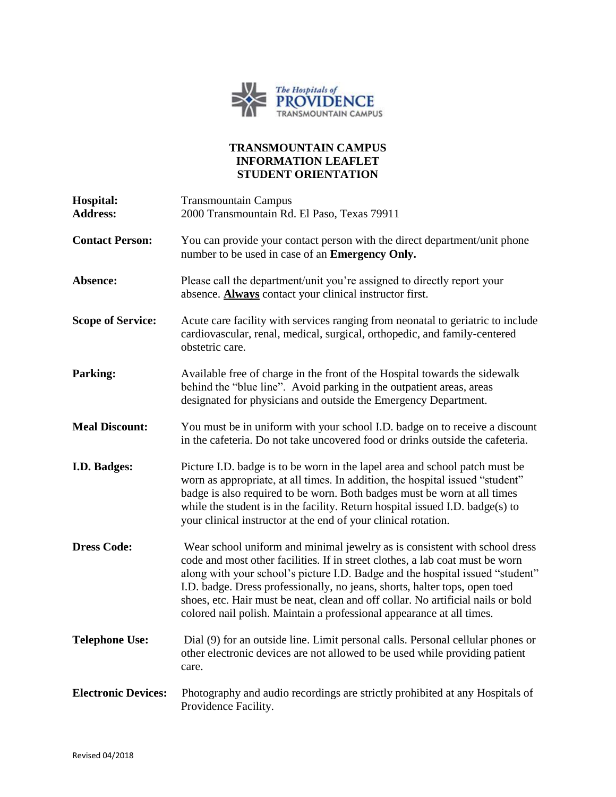

## **TRANSMOUNTAIN CAMPUS INFORMATION LEAFLET STUDENT ORIENTATION**

| Hospital:<br><b>Address:</b> | <b>Transmountain Campus</b><br>2000 Transmountain Rd. El Paso, Texas 79911                                                                                                                                                                                                                                                                                                                                                                                                              |
|------------------------------|-----------------------------------------------------------------------------------------------------------------------------------------------------------------------------------------------------------------------------------------------------------------------------------------------------------------------------------------------------------------------------------------------------------------------------------------------------------------------------------------|
| <b>Contact Person:</b>       | You can provide your contact person with the direct department/unit phone<br>number to be used in case of an Emergency Only.                                                                                                                                                                                                                                                                                                                                                            |
| Absence:                     | Please call the department/unit you're assigned to directly report your<br>absence. <b>Always</b> contact your clinical instructor first.                                                                                                                                                                                                                                                                                                                                               |
| <b>Scope of Service:</b>     | Acute care facility with services ranging from neonatal to geriatric to include<br>cardiovascular, renal, medical, surgical, orthopedic, and family-centered<br>obstetric care.                                                                                                                                                                                                                                                                                                         |
| <b>Parking:</b>              | Available free of charge in the front of the Hospital towards the sidewalk<br>behind the "blue line". Avoid parking in the outpatient areas, areas<br>designated for physicians and outside the Emergency Department.                                                                                                                                                                                                                                                                   |
| <b>Meal Discount:</b>        | You must be in uniform with your school I.D. badge on to receive a discount<br>in the cafeteria. Do not take uncovered food or drinks outside the cafeteria.                                                                                                                                                                                                                                                                                                                            |
| I.D. Badges:                 | Picture I.D. badge is to be worn in the lapel area and school patch must be<br>worn as appropriate, at all times. In addition, the hospital issued "student"<br>badge is also required to be worn. Both badges must be worn at all times<br>while the student is in the facility. Return hospital issued I.D. badge(s) to<br>your clinical instructor at the end of your clinical rotation.                                                                                             |
| <b>Dress Code:</b>           | Wear school uniform and minimal jewelry as is consistent with school dress<br>code and most other facilities. If in street clothes, a lab coat must be worn<br>along with your school's picture I.D. Badge and the hospital issued "student"<br>I.D. badge. Dress professionally, no jeans, shorts, halter tops, open toed<br>shoes, etc. Hair must be neat, clean and off collar. No artificial nails or bold<br>colored nail polish. Maintain a professional appearance at all times. |
| <b>Telephone Use:</b>        | Dial (9) for an outside line. Limit personal calls. Personal cellular phones or<br>other electronic devices are not allowed to be used while providing patient<br>care.                                                                                                                                                                                                                                                                                                                 |
| <b>Electronic Devices:</b>   | Photography and audio recordings are strictly prohibited at any Hospitals of<br>Providence Facility.                                                                                                                                                                                                                                                                                                                                                                                    |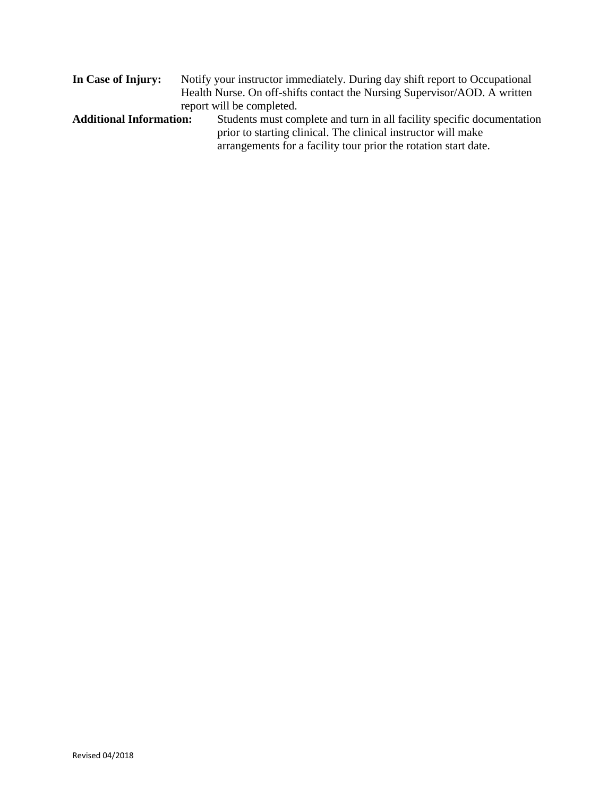| In Case of Injury:             | Notify your instructor immediately. During day shift report to Occupational |
|--------------------------------|-----------------------------------------------------------------------------|
|                                | Health Nurse. On off-shifts contact the Nursing Supervisor/AOD. A written   |
|                                | report will be completed.                                                   |
| <b>Additional Information:</b> | Students must complete and turn in all facility specific documentation      |
|                                | prior to starting clinical. The clinical instructor will make               |
|                                | arrangements for a facility tour prior the rotation start date.             |